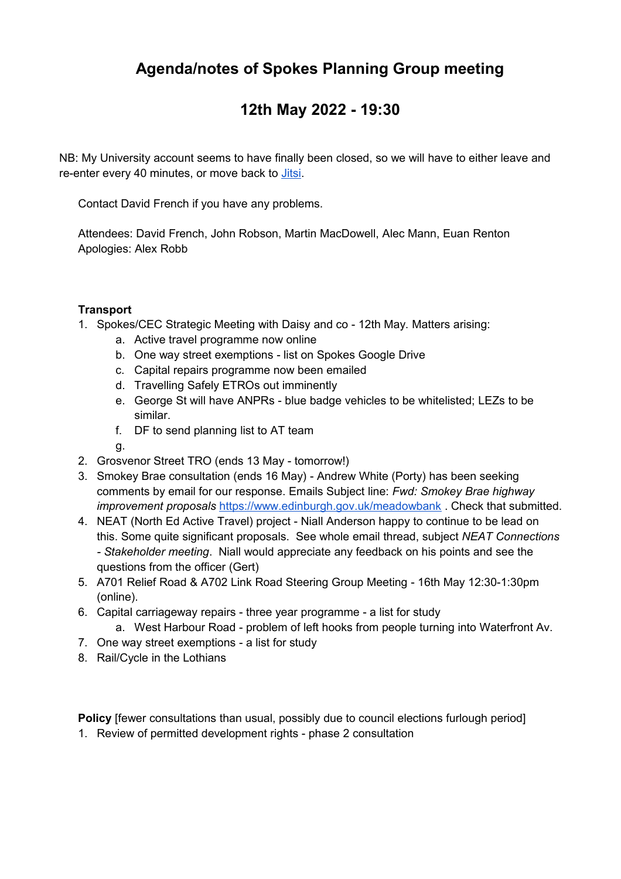# **Agenda/notes of Spokes Planning Group meeting**

## **12th May 2022 - 19:30**

NB: My University account seems to have finally been closed, so we will have to either leave and re-enter every 40 minutes, or move back to [Jitsi.](https://meet.jit.si/SpokesLothianPG)

Contact David French if you have any problems.

Attendees: David French, John Robson, Martin MacDowell, Alec Mann, Euan Renton Apologies: Alex Robb

## **Transport**

- 1. Spokes/CEC Strategic Meeting with Daisy and co 12th May. Matters arising:
	- a. Active travel programme now online
	- b. One way street exemptions list on Spokes Google Drive
	- c. Capital repairs programme now been emailed
	- d. Travelling Safely ETROs out imminently
	- e. George St will have ANPRs blue badge vehicles to be whitelisted; LEZs to be similar.
	- f. DF to send planning list to AT team
	- g.
- 2. Grosvenor Street TRO (ends 13 May tomorrow!)
- 3. Smokey Brae consultation (ends 16 May) Andrew White (Porty) has been seeking comments by email for our response. Emails Subject line: *Fwd: Smokey Brae highway improvement proposals* <https://www.edinburgh.gov.uk/meadowbank>. Check that submitted.
- 4. NEAT (North Ed Active Travel) project Niall Anderson happy to continue to be lead on this. Some quite significant proposals. See whole email thread, subject *NEAT Connections - Stakeholder meeting*. Niall would appreciate any feedback on his points and see the questions from the officer (Gert)
- 5. A701 Relief Road & A702 Link Road Steering Group Meeting 16th May 12:30-1:30pm (online).
- 6. Capital carriageway repairs three year programme a list for study
	- a. West Harbour Road problem of left hooks from people turning into Waterfront Av.
- 7. One way street exemptions a list for study
- 8. Rail/Cycle in the Lothians

**Policy** [fewer consultations than usual, possibly due to council elections furlough period]

1. Review of permitted development rights - phase 2 consultation